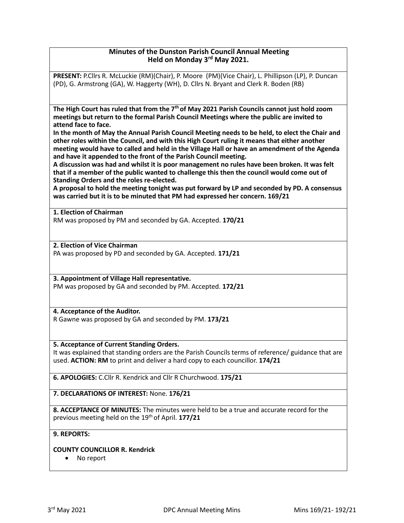## **Minutes of the Dunston Parish Council Annual Meeting Held on Monday 3rd May 2021.**

**PRESENT:** P.Cllrs R. McLuckie (RM)(Chair), P. Moore (PM)(Vice Chair), L. Phillipson (LP), P. Duncan (PD), G. Armstrong (GA), W. Haggerty (WH), D. Cllrs N. Bryant and Clerk R. Boden (RB)

**The High Court has ruled that from the 7th of May 2021 Parish Councils cannot just hold zoom meetings but return to the formal Parish Council Meetings where the public are invited to attend face to face.**

**In the month of May the Annual Parish Council Meeting needs to be held, to elect the Chair and other roles within the Council, and with this High Court ruling it means that either another meeting would have to called and held in the Village Hall or have an amendment of the Agenda and have it appended to the front of the Parish Council meeting.**

**A discussion was had and whilst it is poor management no rules have been broken. It was felt that if a member of the public wanted to challenge this then the council would come out of Standing Orders and the roles re-elected.**

**A proposal to hold the meeting tonight was put forward by LP and seconded by PD. A consensus was carried but it is to be minuted that PM had expressed her concern. 169/21**

**1. Election of Chairman**

RM was proposed by PM and seconded by GA. Accepted. **170/21**

**2. Election of Vice Chairman** PA was proposed by PD and seconded by GA. Accepted. **171/21**

**3. Appointment of Village Hall representative.** PM was proposed by GA and seconded by PM. Accepted. **172/21**

# **4. Acceptance of the Auditor.**

R Gawne was proposed by GA and seconded by PM. **173/21**

## **5. Acceptance of Current Standing Orders.**

It was explained that standing orders are the Parish Councils terms of reference/ guidance that are used. **ACTION: RM** to print and deliver a hard copy to each councillor. **174/21**

**6. APOLOGIES:** C.Cllr R. Kendrick and Cllr R Churchwood. **175/21**

**7. DECLARATIONS OF INTEREST:** None. **176/21**

**8. ACCEPTANCE OF MINUTES:** The minutes were held to be a true and accurate record for the previous meeting held on the 19th of April. **177/21**

## **9. REPORTS:**

## **COUNTY COUNCILLOR R. Kendrick**

• No report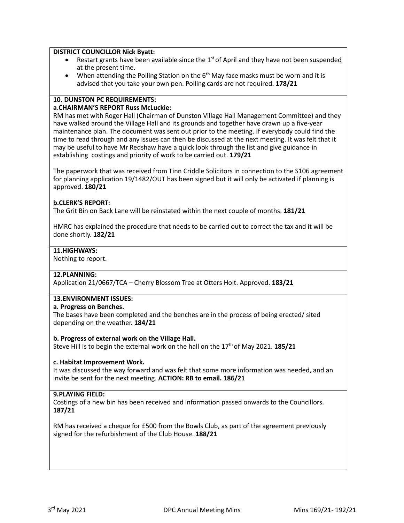#### **DISTRICT COUNCILLOR Nick Byatt:**

- Restart grants have been available since the  $1<sup>st</sup>$  of April and they have not been suspended at the present time.
- When attending the Polling Station on the  $6<sup>th</sup>$  May face masks must be worn and it is advised that you take your own pen. Polling cards are not required. **178/21**

### **10. DUNSTON PC REQUIREMENTS:**

#### **a**.**CHAIRMAN'S REPORT Russ McLuckie:**

RM has met with Roger Hall (Chairman of Dunston Village Hall Management Committee) and they have walked around the Village Hall and its grounds and together have drawn up a five-year maintenance plan. The document was sent out prior to the meeting. If everybody could find the time to read through and any issues can then be discussed at the next meeting. It was felt that it may be useful to have Mr Redshaw have a quick look through the list and give guidance in establishing costings and priority of work to be carried out. **179/21**

The paperwork that was received from Tinn Criddle Solicitors in connection to the S106 agreement for planning application 19/1482/OUT has been signed but it will only be activated if planning is approved. **180/21**

## **b.CLERK'S REPORT:**

The Grit Bin on Back Lane will be reinstated within the next couple of months. **181/21**

HMRC has explained the procedure that needs to be carried out to correct the tax and it will be done shortly. **182/21**

#### **11.HIGHWAYS:**

Nothing to report.

#### **12.PLANNING:**

Application 21/0667/TCA – Cherry Blossom Tree at Otters Holt. Approved. **183/21**

# **13.ENVIRONMENT ISSUES:**

#### **a. Progress on Benches.**

The bases have been completed and the benches are in the process of being erected/ sited depending on the weather. **184/21**

#### **b. Progress of external work on the Village Hall.**

Steve Hill is to begin the external work on the hall on the 17th of May 2021. **185/21**

## **c. Habitat Improvement Work.**

It was discussed the way forward and was felt that some more information was needed, and an invite be sent for the next meeting. **ACTION: RB to email. 186/21**

## **9.PLAYING FIELD:**

Costings of a new bin has been received and information passed onwards to the Councillors. **187/21**

RM has received a cheque for £500 from the Bowls Club, as part of the agreement previously signed for the refurbishment of the Club House. **188/21**